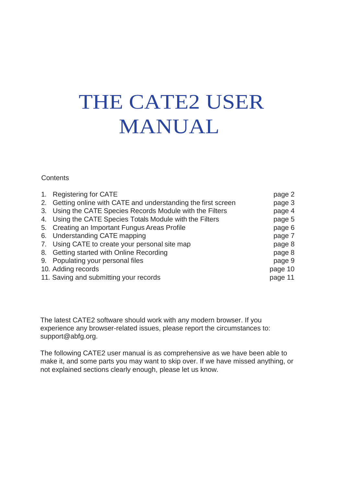# THE CATE2 USER MANUAL

#### **Contents**

| 2. Getting online with CATE and understanding the first screen | page 3  |
|----------------------------------------------------------------|---------|
|                                                                |         |
| 3. Using the CATE Species Records Module with the Filters      | page 4  |
| 4. Using the CATE Species Totals Module with the Filters       | page 5  |
| 5. Creating an Important Fungus Areas Profile                  | page 6  |
| 6. Understanding CATE mapping                                  | page 7  |
| 7. Using CATE to create your personal site map                 | page 8  |
| 8. Getting started with Online Recording                       | page 8  |
| 9. Populating your personal files                              | page 9  |
| 10. Adding records                                             | page 10 |
| 11. Saving and submitting your records                         | page 11 |

The latest CATE2 software should work with any modern browser. If you experience any browser-related issues, please report the circumstances to: [support@abfg.org.](mailto:support@abfg.org)

The following CATE2 user manual is as comprehensive as we have been able to make it, and some parts you may want to skip over. If we have missed anything, or not explained sections clearly enough, please let us know.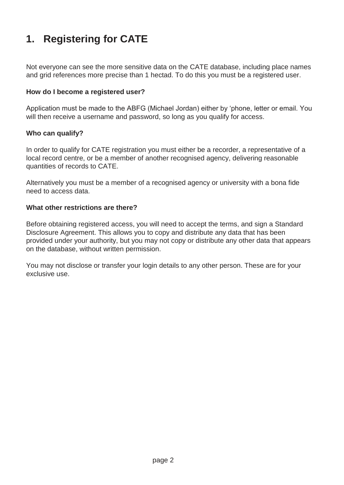# **1. Registering for CATE**

Not everyone can see the more sensitive data on the CATE database, including place names and grid references more precise than 1 hectad. To do this you must be a registered user.

#### **How do I become a registered user?**

Application must be made to the ABFG (Michael Jordan) either by 'phone, letter or email. You will then receive a username and password, so long as you qualify for access.

#### **Who can qualify?**

In order to qualify for CATE registration you must either be a recorder, a representative of a local record centre, or be a member of another recognised agency, delivering reasonable quantities of records to CATE.

Alternatively you must be a member of a recognised agency or university with a bona fide need to access data.

#### **What other restrictions are there?**

Before obtaining registered access, you will need to accept the terms, and sign a Standard Disclosure Agreement. This allows you to copy and distribute any data that has been provided under your authority, but you may not copy or distribute any other data that appears on the database, without written permission.

You may not disclose or transfer your login details to any other person. These are for your exclusive use.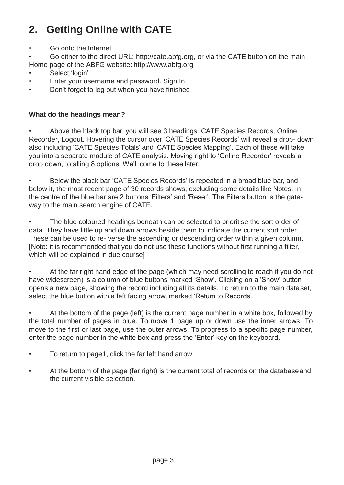# **2. Getting Online with CATE**

• Go onto the Internet

• Go either to the direct URL: [http://cate.abfg.org, o](http://cate.abfg.org/)r via the CATE button on the main Home page of the ABFG website: [http://www.abfg.org](http://www.abfg.org/)

- Select 'login'
- Enter your username and password. Sign In
- Don't forget to log out when you have finished

#### **What do the headings mean?**

• Above the black top bar, you will see 3 headings: CATE Species Records, Online Recorder, Logout. Hovering the cursor over 'CATE Species Records' will reveal a drop- down also including 'CATE Species Totals' and 'CATE Species Mapping'. Each of these will take you into a separate module of CATE analysis. Moving right to 'Online Recorder' reveals a drop down, totalling 8 options. We'll come to these later.

• Below the black bar 'CATE Species Records' is repeated in a broad blue bar, and below it, the most recent page of 30 records shows, excluding some details like Notes. In the centre of the blue bar are 2 buttons 'Filters' and 'Reset'. The Filters button is the gateway to the main search engine of CATE.

The blue coloured headings beneath can be selected to prioritise the sort order of data. They have little up and down arrows beside them to indicate the current sort order. These can be used to re- verse the ascending or descending order within a given column. [Note: it is recommended that you do not use these functions without first running a filter, which will be explained in due course]

• At the far right hand edge of the page (which may need scrolling to reach if you do not have widescreen) is a column of blue buttons marked 'Show'. Clicking on a 'Show' button opens a new page, showing the record including all its details. To return to the main dataset, select the blue button with a left facing arrow, marked 'Return to Records'.

• At the bottom of the page (left) is the current page number in a white box, followed by the total number of pages in blue. To move 1 page up or down use the inner arrows. To move to the first or last page, use the outer arrows. To progress to a specific page number, enter the page number in the white box and press the 'Enter' key on the keyboard.

- To return to page1, click the far left hand arrow
- At the bottom of the page (far right) is the current total of records on the databaseand the current visible selection.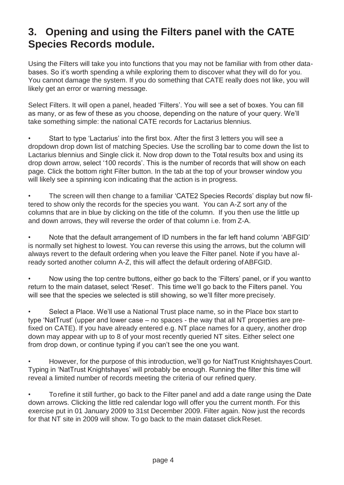### **3. Opening and using the Filters panel with the CATE Species Records module.**

Using the Filters will take you into functions that you may not be familiar with from other databases. So it's worth spending a while exploring them to discover what they will do for you. You cannot damage the system. If you do something that CATE really does not like, you will likely get an error or warning message.

Select Filters. It will open a panel, headed 'Filters'. You will see a set of boxes. You can fill as many, or as few of these as you choose, depending on the nature of your query. We'll take something simple: the national CATE records for Lactarius blennius.

• Start to type 'Lactarius' into the first box. After the first 3 letters you will see a dropdown drop down list of matching Species. Use the scrolling bar to come down the list to Lactarius blennius and Single click it. Now drop down to the Total results box and using its drop down arrow, select '100 records'. This is the number of records that will show on each page. Click the bottom right Filter button. In the tab at the top of your browser window you will likely see a spinning icon indicating that the action is in progress.

• The screen will then change to a familiar 'CATE2 Species Records' display but now filtered to show only the records for the species you want. You can A-Z sort any of the columns that are in blue by clicking on the title of the column. If you then use the little up and down arrows, they will reverse the order of that column i.e. from Z-A.

• Note that the default arrangement of ID numbers in the far left hand column 'ABFGID' is normally set highest to lowest. You can reverse this using the arrows, but the column will always revert to the default ordering when you leave the Filter panel. Note if you have already sorted another column A-Z, this will affect the default ordering of ABFGID.

• Now using the top centre buttons, either go back to the 'Filters' panel, or if you wantto return to the main dataset, select 'Reset'. This time we'll go back to the Filters panel. You will see that the species we selected is still showing, so we'll filter more precisely.

• Select a Place. We'll use a National Trust place name, so in the Place box start to type 'NatTrust' (upper and lower case – no spaces - the way that all NT properties are prefixed on CATE). If you have already entered e.g. NT place names for a query, another drop down may appear with up to 8 of your most recently queried NT sites. Either select one from drop down, or continue typing if you can't see the one you want.

• However, for the purpose of this introduction, we'll go for NatTrust KnightshayesCourt. Typing in 'NatTrust Knightshayes' will probably be enough. Running the filter this time will reveal a limited number of records meeting the criteria of our refined query.

• Torefine it still further, go back to the Filter panel and add a date range using the Date down arrows. Clicking the little red calendar logo will offer you the current month. For this exercise put in 01 January 2009 to 31st December 2009. Filter again. Now just the records for that NT site in 2009 will show. To go back to the main dataset click Reset.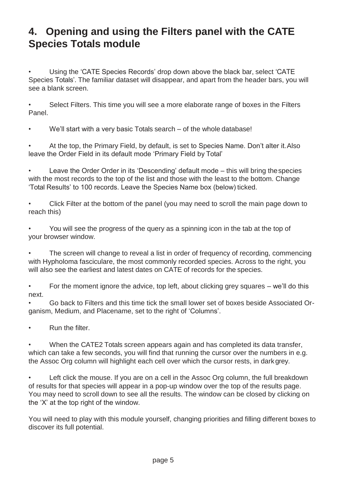#### **4. Opening and using the Filters panel with the CATE Species Totals module**

• Using the 'CATE Species Records' drop down above the black bar, select 'CATE Species Totals'. The familiar dataset will disappear, and apart from the header bars, you will see a blank screen.

Select Filters. This time you will see a more elaborate range of boxes in the Filters Panel.

We'll start with a very basic Totals search – of the whole database!

• At the top, the Primary Field, by default, is set to Species Name. Don't alter it.Also leave the Order Field in its default mode 'Primary Field by Total'

Leave the Order Order in its 'Descending' default mode – this will bring the species with the most records to the top of the list and those with the least to the bottom. Change 'Total Results' to 100 records. Leave the Species Name box (below) ticked.

• Click Filter at the bottom of the panel (you may need to scroll the main page down to reach this)

• You will see the progress of the query as a spinning icon in the tab at the top of your browser window.

The screen will change to reveal a list in order of frequency of recording, commencing with Hypholoma fasciculare, the most commonly recorded species. Across to the right, you will also see the earliest and latest dates on CATE of records for the species.

• For the moment ignore the advice, top left, about clicking grey squares – we'll do this next.

• Go back to Filters and this time tick the small lower set of boxes beside Associated Organism, Medium, and Placename, set to the right of 'Columns'.

Run the filter.

• When the CATE2 Totals screen appears again and has completed its data transfer, which can take a few seconds, you will find that running the cursor over the numbers in e.g. the Assoc Org column will highlight each cell over which the cursor rests, in darkgrey.

Left click the mouse. If you are on a cell in the Assoc Org column, the full breakdown of results for that species will appear in a pop-up window over the top of the results page. You may need to scroll down to see all the results. The window can be closed by clicking on the 'X' at the top right of the window.

You will need to play with this module yourself, changing priorities and filling different boxes to discover its full potential.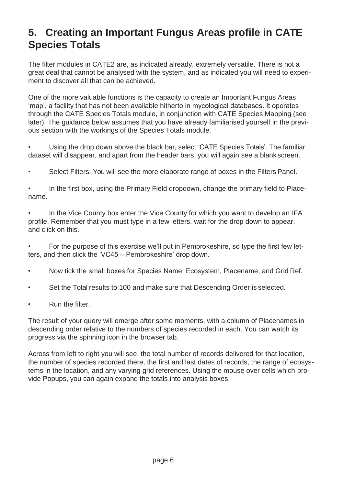### **5. Creating an Important Fungus Areas profile in CATE Species Totals**

The filter modules in CATE2 are, as indicated already, extremely versatile. There is not a great deal that cannot be analysed with the system, and as indicated you will need to experiment to discover all that can be achieved.

One of the more valuable functions is the capacity to create an Important Fungus Areas 'map', a facility that has not been available hitherto in mycological databases. It operates through the CATE Species Totals module, in conjunction with CATE Species Mapping (see later). The guidance below assumes that you have already familiarised yourself in the previous section with the workings of the Species Totals module.

• Using the drop down above the black bar, select 'CATE Species Totals'. The familiar dataset will disappear, and apart from the header bars, you will again see a blank screen.

• Select Filters. You will see the more elaborate range of boxes in the Filters Panel.

• In the first box, using the Primary Field dropdown, change the primary field to Placename.

In the Vice County box enter the Vice County for which you want to develop an IFA profile. Remember that you must type in a few letters, wait for the drop down to appear, and click on this.

• For the purpose of this exercise we'll put in Pembrokeshire, so type the first few letters, and then click the 'VC45 – Pembrokeshire' drop down.

- Now tick the small boxes for Species Name, Ecosystem, Placename, and Grid Ref.
- Set the Total results to 100 and make sure that Descending Order is selected.
- Run the filter.

The result of your query will emerge after some moments, with a column of Placenames in descending order relative to the numbers of species recorded in each. You can watch its progress via the spinning icon in the browser tab.

Across from left to right you will see, the total number of records delivered for that location, the number of species recorded there, the first and last dates of records, the range of ecosystems in the location, and any varying grid references. Using the mouse over cells which provide Popups, you can again expand the totals into analysis boxes.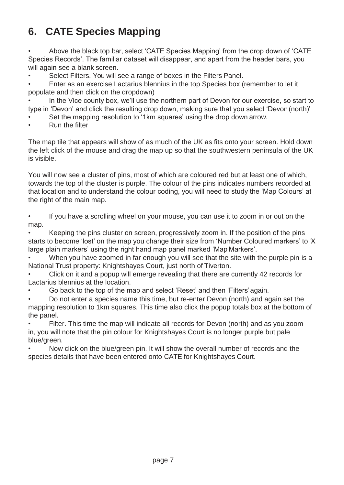# **6. CATE Species Mapping**

• Above the black top bar, select 'CATE Species Mapping' from the drop down of 'CATE Species Records'. The familiar dataset will disappear, and apart from the header bars, you will again see a blank screen.

Select Filters. You will see a range of boxes in the Filters Panel.

• Enter as an exercise Lactarius blennius in the top Species box (remember to let it populate and then click on the dropdown)

In the Vice county box, we'll use the northern part of Devon for our exercise, so start to type in 'Devon' and click the resulting drop down, making sure that you select 'Devon(north)'

Set the mapping resolution to '1km squares' using the drop down arrow.

• Run the filter

The map tile that appears will show of as much of the UK as fits onto your screen. Hold down the left click of the mouse and drag the map up so that the southwestern peninsula of the UK is visible.

You will now see a cluster of pins, most of which are coloured red but at least one of which, towards the top of the cluster is purple. The colour of the pins indicates numbers recorded at that location and to understand the colour coding, you will need to study the 'Map Colours' at the right of the main map.

If you have a scrolling wheel on your mouse, you can use it to zoom in or out on the map.

• Keeping the pins cluster on screen, progressively zoom in. If the position of the pins starts to become 'lost' on the map you change their size from 'Number Coloured markers' to 'X large plain markers' using the right hand map panel marked 'Map Markers'.

When you have zoomed in far enough you will see that the site with the purple pin is a National Trust property: Knightshayes Court, just north of Tiverton.

• Click on it and a popup will emerge revealing that there are currently 42 records for Lactarius blennius at the location.

• Go back to the top of the map and select 'Reset' and then 'Filters'again.

• Do not enter a species name this time, but re-enter Devon (north) and again set the mapping resolution to 1km squares. This time also click the popup totals box at the bottom of the panel.

Filter. This time the map will indicate all records for Devon (north) and as you zoom in, you will note that the pin colour for Knightshayes Court is no longer purple but pale blue/green.

• Now click on the blue/green pin. It will show the overall number of records and the species details that have been entered onto CATE for Knightshayes Court.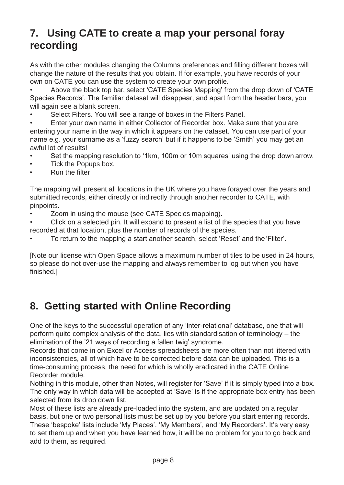### **7. Using CATE to create a map your personal foray recording**

As with the other modules changing the Columns preferences and filling different boxes will change the nature of the results that you obtain. If for example, you have records of your own on CATE you can use the system to create your own profile.

• Above the black top bar, select 'CATE Species Mapping' from the drop down of 'CATE Species Records'. The familiar dataset will disappear, and apart from the header bars, you will again see a blank screen.

• Select Filters. You will see a range of boxes in the Filters Panel.

• Enter your own name in either Collector of Recorder box. Make sure that you are entering your name in the way in which it appears on the dataset. You can use part of your name e.g. your surname as a 'fuzzy search' but if it happens to be 'Smith' you may get an awful lot of results!

- Set the mapping resolution to '1km, 100m or 10m squares' using the drop down arrow.
- Tick the Popups box.
- Run the filter

The mapping will present all locations in the UK where you have forayed over the years and submitted records, either directly or indirectly through another recorder to CATE, with pinpoints.

- Zoom in using the mouse (see CATE Species mapping).
- Click on a selected pin. It will expand to present a list of the species that you have recorded at that location, plus the number of records of the species.
- To return to the mapping a start another search, select 'Reset' and the 'Filter'.

[Note our license with Open Space allows a maximum number of tiles to be used in 24 hours, so please do not over-use the mapping and always remember to log out when you have finished.]

### **8. Getting started with Online Recording**

One of the keys to the successful operation of any 'inter-relational' database, one that will perform quite complex analysis of the data, lies with standardisation of terminology – the elimination of the '21 ways of recording a fallen twig' syndrome.

Records that come in on Excel or Access spreadsheets are more often than not littered with inconsistencies, all of which have to be corrected before data can be uploaded. This is a time-consuming process, the need for which is wholly eradicated in the CATE Online Recorder module.

Nothing in this module, other than Notes, will register for 'Save' if it is simply typed into a box. The only way in which data will be accepted at 'Save' is if the appropriate box entry has been selected from its drop down list.

Most of these lists are already pre-loaded into the system, and are updated on a regular basis, but one or two personal lists must be set up by you before you start entering records. These 'bespoke' lists include 'My Places', 'My Members', and 'My Recorders'. It's very easy to set them up and when you have learned how, it will be no problem for you to go back and add to them, as required.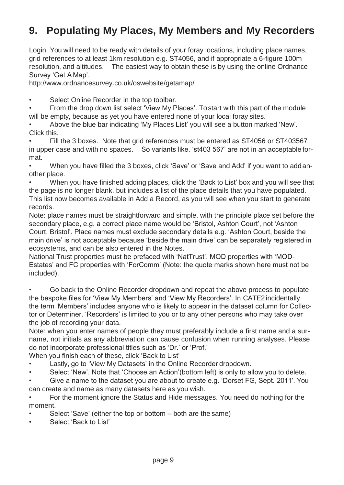### **9. Populating My Places, My Members and My Recorders**

Login. You will need to be ready with details of your foray locations, including place names, grid references to at least 1km resolution e.g. ST4056, and if appropriate a 6-figure 100m resolution, and altitudes. The easiest way to obtain these is by using the online Ordnance Survey 'Get A Map'.

<http://www.ordnancesurvey.co.uk/oswebsite/getamap/>

Select Online Recorder in the top toolbar.

• From the drop down list select 'View My Places'. Tostart with this part of the module will be empty, because as yet you have entered none of your local foray sites.

• Above the blue bar indicating 'My Places List' you will see a button marked 'New'. Click this.

Fill the 3 boxes. Note that grid references must be entered as ST4056 or ST403567 in upper case and with no spaces. So variants like. 'st403 567' are not in an acceptable format.

• When you have filled the 3 boxes, click 'Save' or 'Save and Add' if you want to addanother place.

• When you have finished adding places, click the 'Back to List' box and you will see that the page is no longer blank, but includes a list of the place details that you have populated. This list now becomes available in Add a Record, as you will see when you start to generate records.

Note: place names must be straightforward and simple, with the principle place set before the secondary place, e.g. a correct place name would be 'Bristol, Ashton Court', not 'Ashton Court, Bristol'. Place names must exclude secondary details e.g. 'Ashton Court, beside the main drive' is not acceptable because 'beside the main drive' can be separately registered in ecosystems, and can be also entered in the Notes.

National Trust properties must be prefaced with 'NatTrust', MOD properties with 'MOD-Estates' and FC properties with 'ForComm' (Note: the quote marks shown here must not be included).

• Go back to the Online Recorder dropdown and repeat the above process to populate the bespoke files for 'View My Members' and 'View My Recorders'. In CATE2incidentally the term 'Members' includes anyone who is likely to appear in the dataset column for Collector or Determiner. 'Recorders' is limited to you or to any other persons who may take over the job of recording your data.

Note: when you enter names of people they must preferably include a first name and a surname, not initials as any abbreviation can cause confusion when running analyses. Please do not incorporate professional titles such as 'Dr.' or 'Prof.'

When you finish each of these, click 'Back to List'

- Lastly, go to 'View My Datasets' in the Online Recorder dropdown.
- Select 'New'. Note that 'Choose an Action'(bottom left) is only to allow you to delete.

• Give a name to the dataset you are about to create e.g. 'Dorset FG, Sept. 2011'. You can create and name as many datasets here as you wish.

• For the moment ignore the Status and Hide messages. You need do nothing for the moment.

- Select 'Save' (either the top or bottom both are the same)
- Select 'Back to List'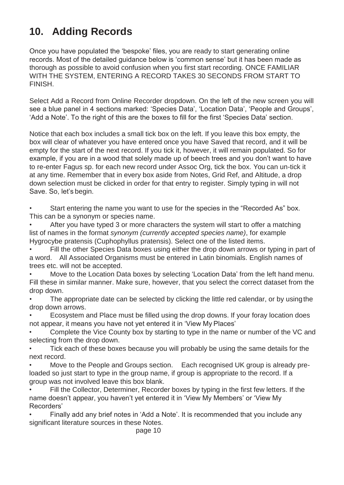## **10. Adding Records**

Once you have populated the 'bespoke' files, you are ready to start generating online records. Most of the detailed guidance below is 'common sense' but it has been made as thorough as possible to avoid confusion when you first start recording. ONCE FAMILIAR WITH THE SYSTEM, ENTERING A RECORD TAKES 30 SECONDS FROM START TO FINISH.

Select Add a Record from Online Recorder dropdown. On the left of the new screen you will see a blue panel in 4 sections marked: 'Species Data', 'Location Data', 'People and Groups', 'Add a Note'. To the right of this are the boxes to fill for the first 'Species Data' section.

Notice that each box includes a small tick box on the left. If you leave this box empty, the box will clear of whatever you have entered once you have Saved that record, and it will be empty for the start of the next record. If you tick it, however, it will remain populated. So for example, if you are in a wood that solely made up of beech trees and you don't want to have to re-enter Fagus sp. for each new record under Assoc Org, tick the box. You can un-tick it at any time. Remember that in every box aside from Notes, Grid Ref, and Altitude, a drop down selection must be clicked in order for that entry to register. Simply typing in will not Save. So, let's begin.

Start entering the name you want to use for the species in the "Recorded As" box. This can be a synonym or species name.

• After you have typed 3 or more characters the system will start to offer a matching list of names in the format *synonym (currently accepted species name)*, for example Hygrocybe pratensis (Cuphophyllus pratensis). Select one of the listed items.

Fill the other Species Data boxes using either the drop down arrows or typing in part of a word. All Associated Organisms must be entered in Latin binomials. English names of trees etc. will not be accepted.

Move to the Location Data boxes by selecting 'Location Data' from the left hand menu. Fill these in similar manner. Make sure, however, that you select the correct dataset from the drop down.

The appropriate date can be selected by clicking the little red calendar, or by using the drop down arrows.

• Ecosystem and Place must be filled using the drop downs. If your foray location does not appear, it means you have not yet entered it in 'View My Places'

• Complete the Vice County box by starting to type in the name or number of the VC and selecting from the drop down.

Tick each of these boxes because you will probably be using the same details for the next record.

• Move to the People and Groups section. Each recognised UK group is already preloaded so just start to type in the group name, if group is appropriate to the record. If a group was not involved leave this box blank.

• Fill the Collector, Determiner, Recorder boxes by typing in the first few letters. If the name doesn't appear, you haven't yet entered it in 'View My Members' or 'View My Recorders'

• Finally add any brief notes in 'Add a Note'. It is recommended that you include any significant literature sources in these Notes.